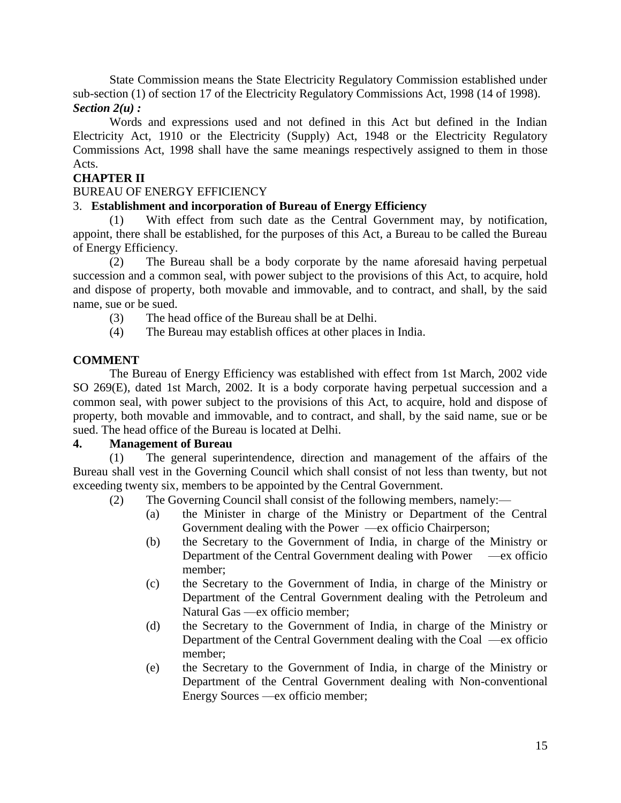State Commission means the State Electricity Regulatory Commission established under sub-section (1) of section 17 of the Electricity Regulatory Commissions Act, 1998 (14 of 1998). *Section 2(u) :*

Words and expressions used and not defined in this Act but defined in the Indian Electricity Act, 1910 or the Electricity (Supply) Act, 1948 or the Electricity Regulatory Commissions Act, 1998 shall have the same meanings respectively assigned to them in those Acts.

# **CHAPTER II**

#### BUREAU OF ENERGY EFFICIENCY

### 3. **Establishment and incorporation of Bureau of Energy Efficiency**

(1) With effect from such date as the Central Government may, by notification, appoint, there shall be established, for the purposes of this Act, a Bureau to be called the Bureau of Energy Efficiency.

(2) The Bureau shall be a body corporate by the name aforesaid having perpetual succession and a common seal, with power subject to the provisions of this Act, to acquire, hold and dispose of property, both movable and immovable, and to contract, and shall, by the said name, sue or be sued.

- (3) The head office of the Bureau shall be at Delhi.
- (4) The Bureau may establish offices at other places in India.

# **COMMENT**

The Bureau of Energy Efficiency was established with effect from 1st March, 2002 vide SO 269(E), dated 1st March, 2002. It is a body corporate having perpetual succession and a common seal, with power subject to the provisions of this Act, to acquire, hold and dispose of property, both movable and immovable, and to contract, and shall, by the said name, sue or be sued. The head office of the Bureau is located at Delhi.

#### **4. Management of Bureau**

(1) The general superintendence, direction and management of the affairs of the Bureau shall vest in the Governing Council which shall consist of not less than twenty, but not exceeding twenty six, members to be appointed by the Central Government.

(2) The Governing Council shall consist of the following members, namely:—

- (a) the Minister in charge of the Ministry or Department of the Central Government dealing with the Power —ex officio Chairperson;
- (b) the Secretary to the Government of India, in charge of the Ministry or Department of the Central Government dealing with Power —ex officio member;
- (c) the Secretary to the Government of India, in charge of the Ministry or Department of the Central Government dealing with the Petroleum and Natural Gas —ex officio member;
- (d) the Secretary to the Government of India, in charge of the Ministry or Department of the Central Government dealing with the Coal —ex officio member;
- (e) the Secretary to the Government of India, in charge of the Ministry or Department of the Central Government dealing with Non-conventional Energy Sources —ex officio member;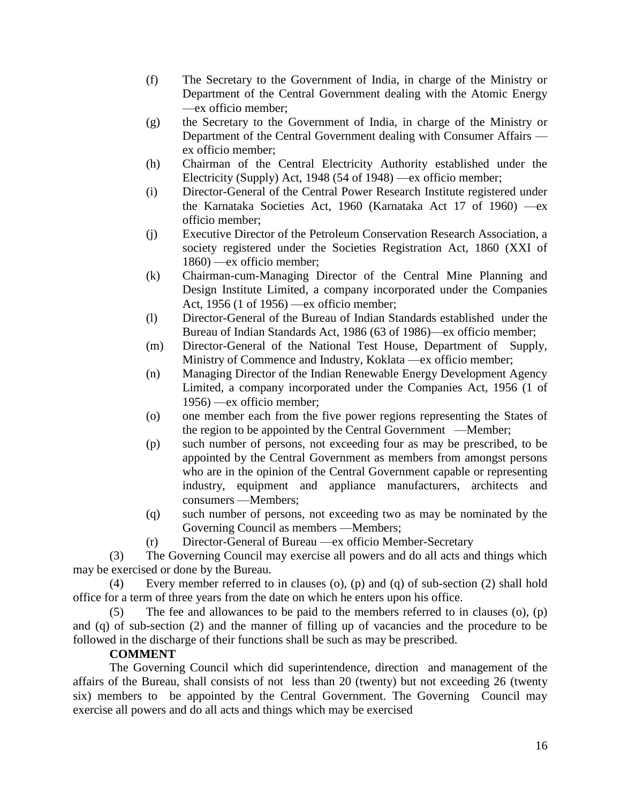- (f) The Secretary to the Government of India, in charge of the Ministry or Department of the Central Government dealing with the Atomic Energy —ex officio member;
- (g) the Secretary to the Government of India, in charge of the Ministry or Department of the Central Government dealing with Consumer Affairs ex officio member;
- (h) Chairman of the Central Electricity Authority established under the Electricity (Supply) Act, 1948 (54 of 1948) —ex officio member;
- (i) Director-General of the Central Power Research Institute registered under the Karnataka Societies Act, 1960 (Karnataka Act 17 of 1960) —ex officio member;
- (j) Executive Director of the Petroleum Conservation Research Association, a society registered under the Societies Registration Act, 1860 (XXI of 1860) —ex officio member;
- (k) Chairman-cum-Managing Director of the Central Mine Planning and Design Institute Limited, a company incorporated under the Companies Act, 1956 (1 of 1956) —ex officio member;
- (l) Director-General of the Bureau of Indian Standards established under the Bureau of Indian Standards Act, 1986 (63 of 1986)—ex officio member;
- (m) Director-General of the National Test House, Department of Supply, Ministry of Commence and Industry, Koklata —ex officio member;
- (n) Managing Director of the Indian Renewable Energy Development Agency Limited, a company incorporated under the Companies Act, 1956 (1 of 1956) —ex officio member;
- (o) one member each from the five power regions representing the States of the region to be appointed by the Central Government —Member;
- (p) such number of persons, not exceeding four as may be prescribed, to be appointed by the Central Government as members from amongst persons who are in the opinion of the Central Government capable or representing industry, equipment and appliance manufacturers, architects and consumers —Members;
- (q) such number of persons, not exceeding two as may be nominated by the Governing Council as members —Members;
- (r) Director-General of Bureau —ex officio Member-Secretary

(3) The Governing Council may exercise all powers and do all acts and things which may be exercised or done by the Bureau.

(4) Every member referred to in clauses (o), (p) and (q) of sub-section (2) shall hold office for a term of three years from the date on which he enters upon his office.

(5) The fee and allowances to be paid to the members referred to in clauses (o), (p) and (q) of sub-section (2) and the manner of filling up of vacancies and the procedure to be followed in the discharge of their functions shall be such as may be prescribed.

#### **COMMENT**

The Governing Council which did superintendence, direction and management of the affairs of the Bureau, shall consists of not less than 20 (twenty) but not exceeding 26 (twenty six) members to be appointed by the Central Government. The Governing Council may exercise all powers and do all acts and things which may be exercised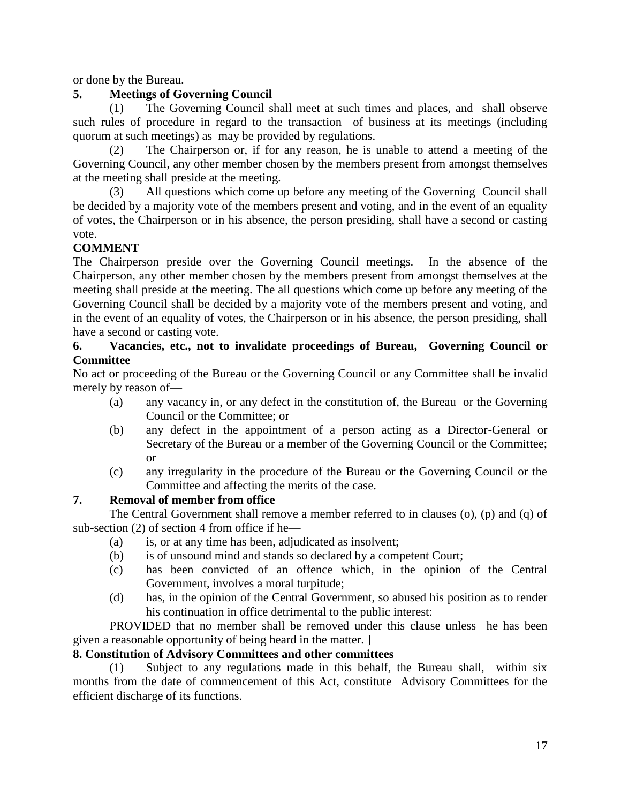or done by the Bureau.

# **5. Meetings of Governing Council**

(1) The Governing Council shall meet at such times and places, and shall observe such rules of procedure in regard to the transaction of business at its meetings (including quorum at such meetings) as may be provided by regulations.

(2) The Chairperson or, if for any reason, he is unable to attend a meeting of the Governing Council, any other member chosen by the members present from amongst themselves at the meeting shall preside at the meeting.

(3) All questions which come up before any meeting of the Governing Council shall be decided by a majority vote of the members present and voting, and in the event of an equality of votes, the Chairperson or in his absence, the person presiding, shall have a second or casting vote.

# **COMMENT**

The Chairperson preside over the Governing Council meetings. In the absence of the Chairperson, any other member chosen by the members present from amongst themselves at the meeting shall preside at the meeting. The all questions which come up before any meeting of the Governing Council shall be decided by a majority vote of the members present and voting, and in the event of an equality of votes, the Chairperson or in his absence, the person presiding, shall have a second or casting vote.

### **6. Vacancies, etc., not to invalidate proceedings of Bureau, Governing Council or Committee**

No act or proceeding of the Bureau or the Governing Council or any Committee shall be invalid merely by reason of—

- (a) any vacancy in, or any defect in the constitution of, the Bureau or the Governing Council or the Committee; or
- (b) any defect in the appointment of a person acting as a Director-General or Secretary of the Bureau or a member of the Governing Council or the Committee; or
- (c) any irregularity in the procedure of the Bureau or the Governing Council or the Committee and affecting the merits of the case.

# **7. Removal of member from office**

The Central Government shall remove a member referred to in clauses (o), (p) and (q) of sub-section (2) of section 4 from office if he—

- (a) is, or at any time has been, adjudicated as insolvent;
- (b) is of unsound mind and stands so declared by a competent Court;
- (c) has been convicted of an offence which, in the opinion of the Central Government, involves a moral turpitude;
- (d) has, in the opinion of the Central Government, so abused his position as to render his continuation in office detrimental to the public interest:

PROVIDED that no member shall be removed under this clause unless he has been given a reasonable opportunity of being heard in the matter. ]

# **8. Constitution of Advisory Committees and other committees**

(1) Subject to any regulations made in this behalf, the Bureau shall, within six months from the date of commencement of this Act, constitute Advisory Committees for the efficient discharge of its functions.